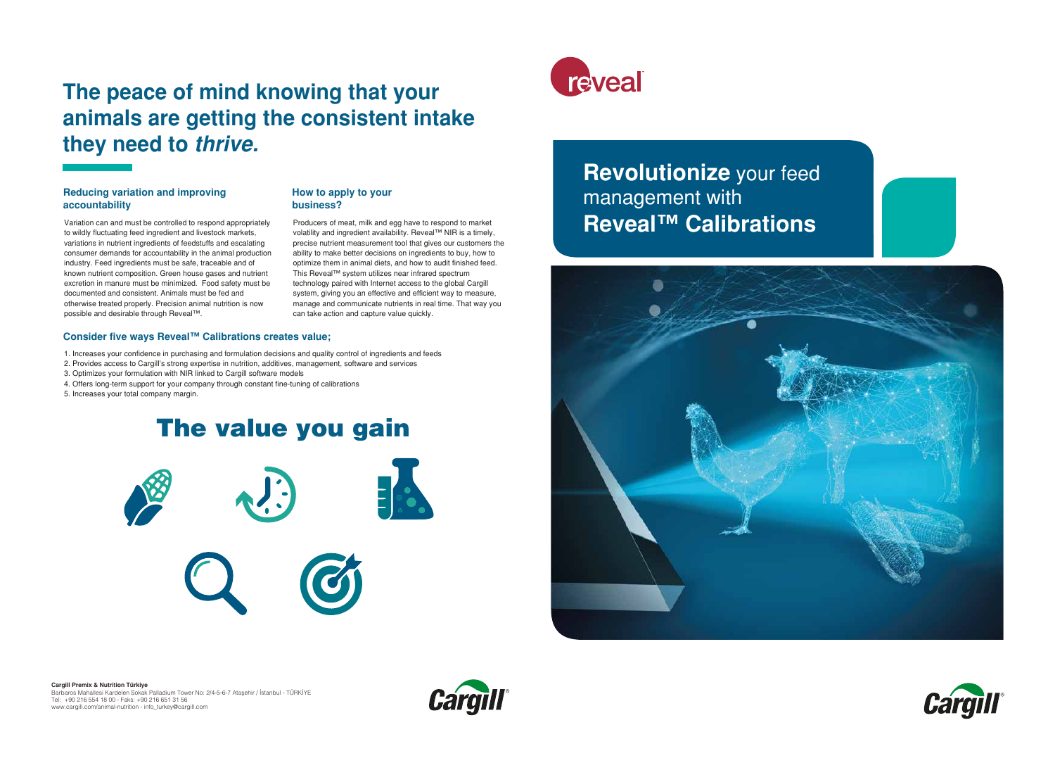#### **Reducing variation and improving accountability**

Variation can and must be controlled to respond appropriately to wildly fluctuating feed ingredient and livestock markets, variations in nutrient ingredients of feedstuffs and escalating consumer demands for accountability in the animal production industry. Feed ingredients must be safe, traceable and of known nutrient composition. Green house gases and nutrient excretion in manure must be minimized. Food safety must be documented and consistent. Animals must be fed and otherwise treated properly. Precision animal nutrition is now possible and desirable through Reveal™.

#### **How to apply to your business?**

Producers of meat, milk and egg have to respond to market volatility and ingredient availability. Reveal™ NIR is a timely, precise nutrient measurement tool that gives our customers the ability to make better decisions on ingredients to buy, how to optimize them in animal diets, and how to audit finished feed. This Reveal™ system utilizes near infrared spectrum technology paired with Internet access to the global Cargill system, giving you an effective and efficient way to measure, manage and communicate nutrients in real time. That way you can take action and capture value quickly.

## **The peace of mind knowing that your animals are getting the consistent intake they need to** *thrive.*

# The value you gain





#### **Consider five ways Reveal™ Calibrations creates value;**

- 1. Increases your confidence in purchasing and formulation decisions and quality control of ingredients and feeds
- 2. Provides access to Cargill's strong expertise in nutrition, additives, management, software and services
- 3. Optimizes your formulation with NIR linked to Cargill software models
- 4. Offers long-term support for your company through constant fine-tuning of calibrations

5. Increases your total company margin.

**Cargill Premix & Nutrition Türkiye**

Barbaros Mahallesi Kardelen Sokak Palladium Tower No: 2/4-5-6-7 Ataşehir / İstanbul - TÜRKİYE Tel: +90 216 554 18 00 - Faks: +90 216 651 31 56 www.cargill.com/animal-nutrition - info\_turkey@cargill.com





# **Revolutionize** your feed management with **Reveal™ Calibrations**